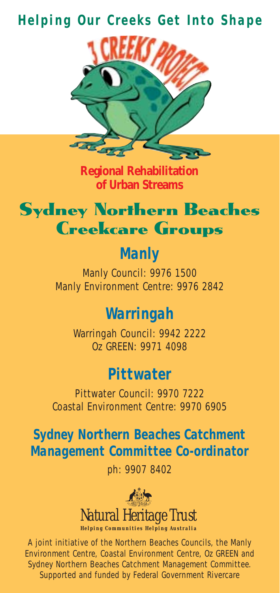#### *Helping Our Creeks Get Into Shape*



**Regional Rehabilitation of Urban Streams**



## *Manly*

Manly Council: 9976 1500 Manly Environment Centre: 9976 2842

### *Warringah*

Warringah Council: 9942 2222 Oz GREEN: 9971 4098

#### *Pittwater*

Pittwater Council: 9970 7222 Coastal Environment Centre: 9970 6905

*Sydney Northern Beaches Catchment Management Committee Co-ordinator*

ph: 9907 8402



A joint initiative of the Northern Beaches Councils, the Manly Environment Centre, Coastal Environment Centre, Oz GREEN and Sydney Northern Beaches Catchment Management Committee. Supported and funded by Federal Government Rivercare